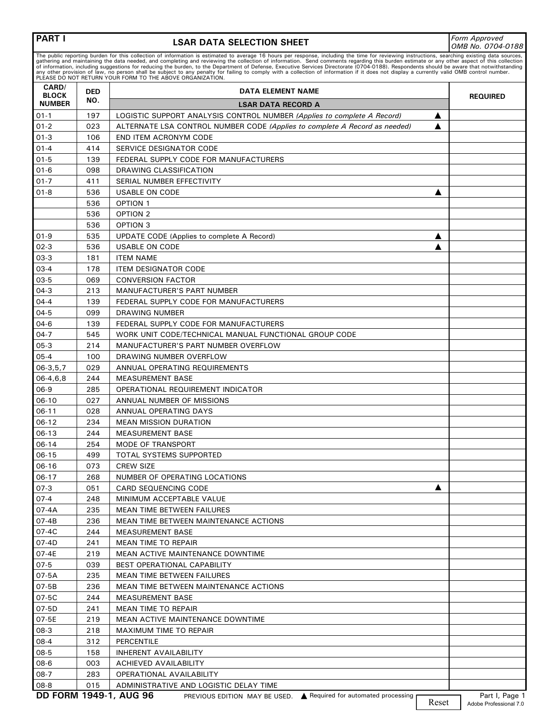## **LSAR DATA SELECTION SHEET** *Form Approved*

*OMB No. 0704-0188*

The public reporting burden for this collection of information is estimated to average 16 hours per response, including the time for reviewing instructions, searching existing data sources,<br>gathering and maintaining the da

| PLEASE DO NOT RETURN YOUR FORM TO THE ABOVE ORGANIZATION.<br>CARD/ |                   |                                                                                                    |                 |  |  |
|--------------------------------------------------------------------|-------------------|----------------------------------------------------------------------------------------------------|-----------------|--|--|
| <b>BLOCK</b>                                                       | <b>DED</b><br>NO. | DATA ELEMENT NAME                                                                                  | <b>REQUIRED</b> |  |  |
| <b>NUMBER</b>                                                      |                   | <b>LSAR DATA RECORD A</b>                                                                          |                 |  |  |
| $01-1$                                                             | 197               | LOGISTIC SUPPORT ANALYSIS CONTROL NUMBER (Applies to complete A Record)<br>▲                       |                 |  |  |
| $01 - 2$                                                           | 023               | ALTERNATE LSA CONTROL NUMBER CODE (Applies to complete A Record as needed)                         |                 |  |  |
| $01-3$                                                             | 106               | END ITEM ACRONYM CODE                                                                              |                 |  |  |
| $01 - 4$                                                           | 414               | SERVICE DESIGNATOR CODE                                                                            |                 |  |  |
| $01 - 5$                                                           | 139               | FEDERAL SUPPLY CODE FOR MANUFACTURERS                                                              |                 |  |  |
| $01 - 6$                                                           | 098               | DRAWING CLASSIFICATION                                                                             |                 |  |  |
| $01 - 7$                                                           | 411               | SERIAL NUMBER EFFECTIVITY                                                                          |                 |  |  |
| $01 - 8$                                                           | 536               | <b>USABLE ON CODE</b><br>A                                                                         |                 |  |  |
|                                                                    | 536               | <b>OPTION 1</b>                                                                                    |                 |  |  |
|                                                                    | 536               | OPTION 2                                                                                           |                 |  |  |
|                                                                    | 536               | OPTION 3                                                                                           |                 |  |  |
| $01-9$                                                             | 535               | UPDATE CODE (Applies to complete A Record)<br>▲                                                    |                 |  |  |
| $02-3$                                                             | 536               | <b>USABLE ON CODE</b>                                                                              |                 |  |  |
| $03-3$                                                             | 181               | <b>ITEM NAME</b>                                                                                   |                 |  |  |
| $03-4$                                                             | 178               | <b>ITEM DESIGNATOR CODE</b>                                                                        |                 |  |  |
| 03-5                                                               | 069               | <b>CONVERSION FACTOR</b>                                                                           |                 |  |  |
| $04-3$                                                             | 213               | <b>MANUFACTURER'S PART NUMBER</b>                                                                  |                 |  |  |
| $04 - 4$                                                           | 139               | FEDERAL SUPPLY CODE FOR MANUFACTURERS                                                              |                 |  |  |
| $04 - 5$                                                           | 099               | DRAWING NUMBER                                                                                     |                 |  |  |
| $04-6$                                                             | 139               | FEDERAL SUPPLY CODE FOR MANUFACTURERS                                                              |                 |  |  |
| $04-7$                                                             | 545               | WORK UNIT CODE/TECHNICAL MANUAL FUNCTIONAL GROUP CODE                                              |                 |  |  |
| $05-3$                                                             | 214               | MANUFACTURER'S PART NUMBER OVERFLOW                                                                |                 |  |  |
| $05 - 4$                                                           | 100               | DRAWING NUMBER OVERFLOW                                                                            |                 |  |  |
| $06-3, 5, 7$                                                       | 029               | ANNUAL OPERATING REQUIREMENTS                                                                      |                 |  |  |
| $06-4, 6, 8$                                                       | 244               | <b>MEASUREMENT BASE</b>                                                                            |                 |  |  |
| 06-9                                                               | 285               | OPERATIONAL REQUIREMENT INDICATOR                                                                  |                 |  |  |
| $06-10$                                                            | 027               | ANNUAL NUMBER OF MISSIONS                                                                          |                 |  |  |
| $06-11$                                                            | 028               | ANNUAL OPERATING DAYS                                                                              |                 |  |  |
| $06-12$                                                            | 234               | <b>MEAN MISSION DURATION</b>                                                                       |                 |  |  |
| $06-13$                                                            | 244               | <b>MEASUREMENT BASE</b>                                                                            |                 |  |  |
| $06-14$                                                            | 254               | <b>MODE OF TRANSPORT</b>                                                                           |                 |  |  |
| $06 - 15$                                                          | 499               | TOTAL SYSTEMS SUPPORTED                                                                            |                 |  |  |
| 06-16                                                              | 073               | <b>CREW SIZE</b>                                                                                   |                 |  |  |
| $06-17$                                                            | 268               | NUMBER OF OPERATING LOCATIONS                                                                      |                 |  |  |
| $07-3$                                                             | 051               | CARD SEQUENCING CODE                                                                               |                 |  |  |
| $07-4$                                                             | 248               | MINIMUM ACCEPTABLE VALUE                                                                           |                 |  |  |
| 07-4A                                                              | 235               | MEAN TIME BETWEEN FAILURES                                                                         |                 |  |  |
| 07-4B                                                              | 236               | <b>MEAN TIME BETWEEN MAINTENANCE ACTIONS</b>                                                       |                 |  |  |
| 07-4C                                                              | 244               | MEASUREMENT BASE                                                                                   |                 |  |  |
| 07-4D                                                              | 241               | <b>MEAN TIME TO REPAIR</b>                                                                         |                 |  |  |
| 07-4E                                                              | 219               | <b>MEAN ACTIVE MAINTENANCE DOWNTIME</b>                                                            |                 |  |  |
| $07-5$                                                             | 039               | BEST OPERATIONAL CAPABILITY                                                                        |                 |  |  |
| 07-5A                                                              | 235               | <b>MEAN TIME BETWEEN FAILURES</b>                                                                  |                 |  |  |
| 07-5B                                                              | 236               | <b>MEAN TIME BETWEEN MAINTENANCE ACTIONS</b>                                                       |                 |  |  |
| 07-5C                                                              | 244               | <b>MEASUREMENT BASE</b>                                                                            |                 |  |  |
| 07-5D                                                              | 241               | <b>MEAN TIME TO REPAIR</b>                                                                         |                 |  |  |
| 07-5E                                                              | 219               | <b>MEAN ACTIVE MAINTENANCE DOWNTIME</b>                                                            |                 |  |  |
| 08-3                                                               | 218               | MAXIMUM TIME TO REPAIR                                                                             |                 |  |  |
| 08-4                                                               | 312               | PERCENTILE                                                                                         |                 |  |  |
| 08-5                                                               | 158               | <b>INHERENT AVAILABILITY</b>                                                                       |                 |  |  |
| 08-6                                                               | 003               | <b>ACHIEVED AVAILABILITY</b>                                                                       |                 |  |  |
| $08-7$                                                             | 283               | OPERATIONAL AVAILABILITY                                                                           |                 |  |  |
| 08-8                                                               | 015               | ADMINISTRATIVE AND LOGISTIC DELAY TIME                                                             |                 |  |  |
|                                                                    |                   | <b>DD FORM 1949-1, AUG 96</b><br>PREVIOUS EDITION MAY BE USED. ▲ Required for automated processing | Part I, Page 1  |  |  |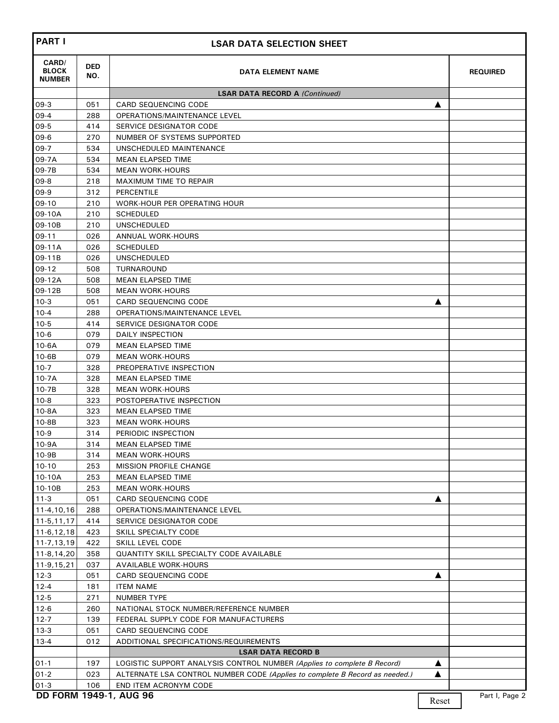| <b>PART I</b>                          |                   | <b>LSAR DATA SELECTION SHEET</b>                                            |                  |                 |
|----------------------------------------|-------------------|-----------------------------------------------------------------------------|------------------|-----------------|
| CARD/<br><b>BLOCK</b><br><b>NUMBER</b> | <b>DED</b><br>NO. | DATA ELEMENT NAME                                                           |                  | <b>REQUIRED</b> |
|                                        |                   | <b>LSAR DATA RECORD A (Continued)</b>                                       |                  |                 |
| 09-3                                   | 051               | <b>CARD SEQUENCING CODE</b>                                                 | ▲                |                 |
| $09-4$                                 | 288               | OPERATIONS/MAINTENANCE LEVEL                                                |                  |                 |
| $09-5$                                 | 414               | SERVICE DESIGNATOR CODE                                                     |                  |                 |
| $09-6$                                 | 270               | NUMBER OF SYSTEMS SUPPORTED                                                 |                  |                 |
| $09-7$                                 | 534               | UNSCHEDULED MAINTENANCE                                                     |                  |                 |
| 09-7A                                  | 534               | <b>MEAN ELAPSED TIME</b>                                                    |                  |                 |
| 09-7B                                  | 534               | <b>MEAN WORK-HOURS</b>                                                      |                  |                 |
| $09-8$                                 | 218               | MAXIMUM TIME TO REPAIR                                                      |                  |                 |
| $09-9$                                 | 312               | <b>PERCENTILE</b>                                                           |                  |                 |
| 09-10                                  | 210               | WORK-HOUR PER OPERATING HOUR                                                |                  |                 |
| 09-10A                                 | 210               | <b>SCHEDULED</b>                                                            |                  |                 |
| 09-10B                                 | 210               | <b>UNSCHEDULED</b>                                                          |                  |                 |
| $09-11$                                | 026               | <b>ANNUAL WORK-HOURS</b>                                                    |                  |                 |
| 09-11A                                 | 026               | <b>SCHEDULED</b>                                                            |                  |                 |
| 09-11B                                 | 026               | <b>UNSCHEDULED</b>                                                          |                  |                 |
| $09-12$                                | 508               | TURNAROUND                                                                  |                  |                 |
| 09-12A                                 | 508               | <b>MEAN ELAPSED TIME</b>                                                    |                  |                 |
| 09-12B                                 | 508               | <b>MEAN WORK-HOURS</b>                                                      |                  |                 |
| $10-3$                                 | 051               | <b>CARD SEQUENCING CODE</b>                                                 | ▲                |                 |
| $10 - 4$                               | 288               | OPERATIONS/MAINTENANCE LEVEL                                                |                  |                 |
| $10-5$                                 | 414               | SERVICE DESIGNATOR CODE                                                     |                  |                 |
| $10-6$                                 | 079               | DAILY INSPECTION                                                            |                  |                 |
| $10-6A$                                | 079               | <b>MEAN ELAPSED TIME</b>                                                    |                  |                 |
| $10-6B$                                | 079               | <b>MEAN WORK-HOURS</b>                                                      |                  |                 |
| $10-7$                                 | 328               | PREOPERATIVE INSPECTION                                                     |                  |                 |
| $10-7A$                                | 328               | <b>MEAN ELAPSED TIME</b>                                                    |                  |                 |
| $10-7B$                                | 328               | <b>MEAN WORK-HOURS</b>                                                      |                  |                 |
| $10-8$                                 | 323               | POSTOPERATIVE INSPECTION                                                    |                  |                 |
| $10-8A$                                | 323               | <b>MEAN ELAPSED TIME</b>                                                    |                  |                 |
| $10-8B$                                | 323               | <b>MEAN WORK-HOURS</b>                                                      |                  |                 |
| $10-9$                                 | 314               | PERIODIC INSPECTION                                                         |                  |                 |
| 10-9A                                  | 314               | <b>MEAN ELAPSED TIME</b>                                                    |                  |                 |
| $10-9B$                                | 314               | <b>MEAN WORK-HOURS</b>                                                      |                  |                 |
| $10-10$                                | 253               | <b>MISSION PROFILE CHANGE</b>                                               |                  |                 |
| 10-10A                                 | 253               | <b>MEAN ELAPSED TIME</b>                                                    |                  |                 |
| 10-10B                                 | 253               | <b>MEAN WORK-HOURS</b>                                                      |                  |                 |
| $11 - 3$                               | 051               | <b>CARD SEQUENCING CODE</b>                                                 | ▲                |                 |
| 11-4,10,16                             | 288               | <b>OPERATIONS/MAINTENANCE LEVEL</b>                                         |                  |                 |
| $11-5, 11, 17$                         | 414               | SERVICE DESIGNATOR CODE                                                     |                  |                 |
| 11-6,12,18                             | 423               | SKILL SPECIALTY CODE                                                        |                  |                 |
| 11-7,13,19                             | 422               | SKILL LEVEL CODE                                                            |                  |                 |
| 11-8,14,20                             | 358               | <b>QUANTITY SKILL SPECIALTY CODE AVAILABLE</b>                              |                  |                 |
| 11-9,15,21                             | 037               | <b>AVAILABLE WORK-HOURS</b>                                                 |                  |                 |
| $12-3$                                 | 051               | CARD SEQUENCING CODE                                                        | ▲                |                 |
| $12 - 4$                               | 181               | <b>ITEM NAME</b>                                                            |                  |                 |
| $12 - 5$                               | 271               | NUMBER TYPE                                                                 |                  |                 |
| $12-6$                                 | 260               | NATIONAL STOCK NUMBER/REFERENCE NUMBER                                      |                  |                 |
| $12 - 7$                               | 139               | FEDERAL SUPPLY CODE FOR MANUFACTURERS                                       |                  |                 |
| $13-3$                                 | 051               | <b>CARD SEQUENCING CODE</b>                                                 |                  |                 |
| $13 - 4$                               | 012               | ADDITIONAL SPECIFICATIONS/REQUIREMENTS                                      |                  |                 |
|                                        |                   | <b>LSAR DATA RECORD B</b>                                                   |                  |                 |
| $01-1$                                 | 197               | LOGISTIC SUPPORT ANALYSIS CONTROL NUMBER (Applies to complete B Record)     | ▲                |                 |
| $01 - 2$                               | 023               | ALTERNATE LSA CONTROL NUMBER CODE (Applies to complete B Record as needed.) | ▲                |                 |
| $01-3$                                 | 106               | END ITEM ACRONYM CODE                                                       |                  |                 |
|                                        |                   | DD FORM 1949-1, AUG 96                                                      | $\mathbf{D}$ and | Part I, Page 2  |

Reset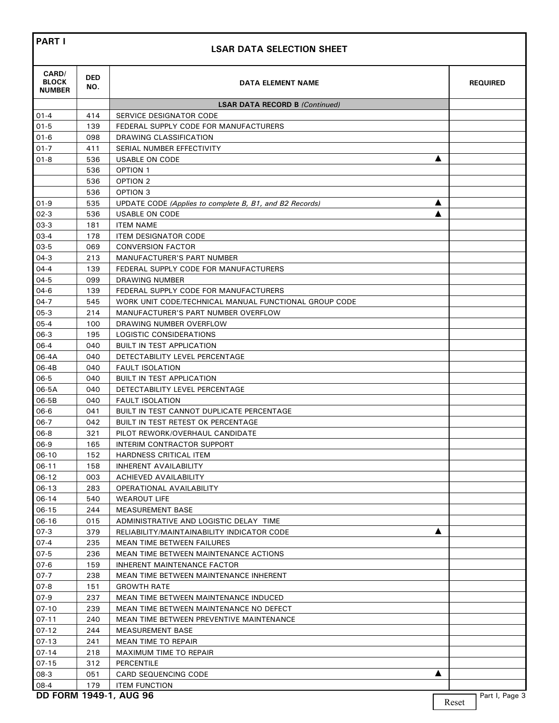## **LSAR DATA SELECTION SHEET**

| CARD/<br><b>BLOCK</b><br><b>NUMBER</b> | DED<br>NO. | DATA ELEMENT NAME                                                                              | <b>REQUIRED</b> |
|----------------------------------------|------------|------------------------------------------------------------------------------------------------|-----------------|
|                                        |            | <b>LSAR DATA RECORD B (Continued)</b>                                                          |                 |
| $01 - 4$                               | 414        | <b>SERVICE DESIGNATOR CODE</b>                                                                 |                 |
| $01 - 5$                               | 139        | FEDERAL SUPPLY CODE FOR MANUFACTURERS                                                          |                 |
| $01 - 6$                               | 098        | DRAWING CLASSIFICATION                                                                         |                 |
| $01 - 7$                               | 411        | SERIAL NUMBER EFFECTIVITY                                                                      |                 |
| $01 - 8$                               | 536        | <b>USABLE ON CODE</b>                                                                          |                 |
|                                        | 536        | <b>OPTION 1</b>                                                                                |                 |
|                                        | 536        | OPTION <sub>2</sub>                                                                            |                 |
|                                        | 536        | OPTION 3                                                                                       |                 |
| $01-9$                                 | 535        | UPDATE CODE (Applies to complete B, B1, and B2 Records)<br>A                                   |                 |
| $02-3$                                 | 536        | USABLE ON CODE                                                                                 |                 |
| $03-3$                                 | 181        | <b>ITEM NAME</b>                                                                               |                 |
| $03-4$                                 | 178        | <b>ITEM DESIGNATOR CODE</b>                                                                    |                 |
| $03-5$                                 | 069        | <b>CONVERSION FACTOR</b>                                                                       |                 |
| $04-3$<br>$04 - 4$                     | 213        | <b>MANUFACTURER'S PART NUMBER</b>                                                              |                 |
|                                        | 139        | FEDERAL SUPPLY CODE FOR MANUFACTURERS                                                          |                 |
| $04 - 5$                               | 099<br>139 | DRAWING NUMBER                                                                                 |                 |
| 04-6<br>$04-7$                         | 545        | FEDERAL SUPPLY CODE FOR MANUFACTURERS<br>WORK UNIT CODE/TECHNICAL MANUAL FUNCTIONAL GROUP CODE |                 |
| $05-3$                                 | 214        | <b>MANUFACTURER'S PART NUMBER OVERFLOW</b>                                                     |                 |
| $05 - 4$                               | 100        | DRAWING NUMBER OVERFLOW                                                                        |                 |
| $06-3$                                 | 195        | LOGISTIC CONSIDERATIONS                                                                        |                 |
| $06-4$                                 | 040        | <b>BUILT IN TEST APPLICATION</b>                                                               |                 |
| 06-4A                                  | 040        | DETECTABILITY LEVEL PERCENTAGE                                                                 |                 |
| 06-4B                                  | 040        | <b>FAULT ISOLATION</b>                                                                         |                 |
| $06 - 5$                               | 040        | <b>BUILT IN TEST APPLICATION</b>                                                               |                 |
| 06-5A                                  | 040        | DETECTABILITY LEVEL PERCENTAGE                                                                 |                 |
| 06-5B                                  | 040        | <b>FAULT ISOLATION</b>                                                                         |                 |
| 06-6                                   | 041        | BUILT IN TEST CANNOT DUPLICATE PERCENTAGE                                                      |                 |
| $06-7$                                 | 042        | BUILT IN TEST RETEST OK PERCENTAGE                                                             |                 |
| $06 - 8$                               | 321        | PILOT REWORK/OVERHAUL CANDIDATE                                                                |                 |
| $06-9$                                 | 165        | INTERIM CONTRACTOR SUPPORT                                                                     |                 |
| 06-10                                  | 152        | <b>HARDNESS CRITICAL ITEM</b>                                                                  |                 |
| $06-11$                                | 158        | INHERENT AVAILABILITY                                                                          |                 |
| 06-12                                  | 003        | <b>ACHIEVED AVAILABILITY</b>                                                                   |                 |
| $06-13$                                | 283        | <b>OPERATIONAL AVAILABILITY</b>                                                                |                 |
| 06-14                                  | 540        | <b>WEAROUT LIFE</b>                                                                            |                 |
| $06 - 15$                              | 244        | <b>MEASUREMENT BASE</b>                                                                        |                 |
| $06-16$                                | 015        | ADMINISTRATIVE AND LOGISTIC DELAY TIME                                                         |                 |
| $07-3$                                 | 379        | RELIABILITY/MAINTAINABILITY INDICATOR CODE                                                     |                 |
| $07-4$                                 | 235        | <b>MEAN TIME BETWEEN FAILURES</b>                                                              |                 |
| $07-5$                                 | 236        | <b>MEAN TIME BETWEEN MAINTENANCE ACTIONS</b>                                                   |                 |
| 07-6                                   | 159        | <b>INHERENT MAINTENANCE FACTOR</b>                                                             |                 |
| $07 - 7$                               | 238        | MEAN TIME BETWEEN MAINTENANCE INHERENT                                                         |                 |
| 07-8                                   | 151        | <b>GROWTH RATE</b>                                                                             |                 |
| $07-9$                                 | 237        | MEAN TIME BETWEEN MAINTENANCE INDUCED                                                          |                 |
| $07-10$                                | 239        | MEAN TIME BETWEEN MAINTENANCE NO DEFECT                                                        |                 |
| $07 - 11$                              | 240        | MEAN TIME BETWEEN PREVENTIVE MAINTENANCE                                                       |                 |
| $07 - 12$                              | 244        | <b>MEASUREMENT BASE</b>                                                                        |                 |
| $07-13$                                | 241        | <b>MEAN TIME TO REPAIR</b>                                                                     |                 |
| $07 - 14$                              | 218        | MAXIMUM TIME TO REPAIR                                                                         |                 |
| $07-15$                                | 312        | PERCENTILE                                                                                     |                 |
| $08-3$                                 | 051        | <b>CARD SEQUENCING CODE</b>                                                                    |                 |
| 08-4                                   | 179        | <b>ITEM FUNCTION</b>                                                                           |                 |
|                                        |            | DD FORM 1949-1, AUG 96                                                                         | Part I, Page 3  |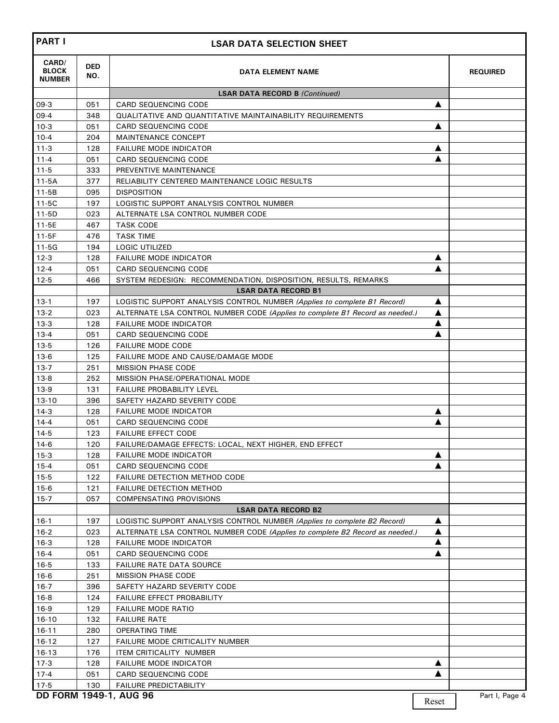| <b>PART I</b>                          |                   | <b>LSAR DATA SELECTION SHEET</b>                                                     |        |                 |
|----------------------------------------|-------------------|--------------------------------------------------------------------------------------|--------|-----------------|
| CARD/<br><b>BLOCK</b><br><b>NUMBER</b> | <b>DED</b><br>NO. | DATA ELEMENT NAME                                                                    |        | <b>REQUIRED</b> |
|                                        |                   | <b>LSAR DATA RECORD B (Continued)</b>                                                |        |                 |
| $09-3$                                 | 051               | <b>CARD SEQUENCING CODE</b>                                                          | ▲      |                 |
| $09-4$                                 | 348               | <b>QUALITATIVE AND QUANTITATIVE MAINTAINABILITY REQUIREMENTS</b>                     |        |                 |
| $10-3$                                 | 051               | <b>CARD SEQUENCING CODE</b>                                                          | ▲      |                 |
| $10 - 4$                               | 204               | <b>MAINTENANCE CONCEPT</b>                                                           |        |                 |
| $11 - 3$                               | 128               | <b>FAILURE MODE INDICATOR</b>                                                        | А      |                 |
| $11 - 4$                               | 051               | <b>CARD SEQUENCING CODE</b>                                                          |        |                 |
| $11 - 5$                               | 333               | PREVENTIVE MAINTENANCE                                                               |        |                 |
| $11-5A$                                | 377               | RELIABILITY CENTERED MAINTENANCE LOGIC RESULTS                                       |        |                 |
| $11 - 5B$                              | 095               | <b>DISPOSITION</b>                                                                   |        |                 |
| $11-5C$                                | 197               | LOGISTIC SUPPORT ANALYSIS CONTROL NUMBER                                             |        |                 |
| $11 - 5D$                              | 023               | ALTERNATE LSA CONTROL NUMBER CODE                                                    |        |                 |
| $11 - 5E$                              | 467               | <b>TASK CODE</b>                                                                     |        |                 |
| $11 - 5F$                              | 476               | <b>TASK TIME</b>                                                                     |        |                 |
| $11-5G$                                | 194               | <b>LOGIC UTILIZED</b>                                                                |        |                 |
| $12-3$                                 | 128               | <b>FAILURE MODE INDICATOR</b>                                                        | ▲      |                 |
| $12 - 4$                               | 051               | CARD SEQUENCING CODE                                                                 | ▲      |                 |
| $12 - 5$                               | 466               | SYSTEM REDESIGN: RECOMMENDATION, DISPOSITION, RESULTS, REMARKS                       |        |                 |
|                                        |                   | <b>LSAR DATA RECORD B1</b>                                                           |        |                 |
| $13-1$                                 | 197               | LOGISTIC SUPPORT ANALYSIS CONTROL NUMBER (Applies to complete B1 Record)             | ▲      |                 |
| $13 - 2$                               | 023               | ALTERNATE LSA CONTROL NUMBER CODE (Applies to complete B1 Record as needed.)         | ▲      |                 |
| $13-3$                                 | 128               | <b>FAILURE MODE INDICATOR</b>                                                        | ▲      |                 |
| $13 - 4$                               | 051               | <b>CARD SEQUENCING CODE</b>                                                          |        |                 |
| $13 - 5$                               | 126               | <b>FAILURE MODE CODE</b>                                                             |        |                 |
| $13-6$                                 | 125               | FAILURE MODE AND CAUSE/DAMAGE MODE                                                   |        |                 |
| $13 - 7$                               | 251               | <b>MISSION PHASE CODE</b>                                                            |        |                 |
| $13-8$                                 | 252               | MISSION PHASE/OPERATIONAL MODE                                                       |        |                 |
| $13-9$                                 | 131               | <b>FAILURE PROBABILITY LEVEL</b>                                                     |        |                 |
| $13 - 10$                              | 396               | SAFETY HAZARD SEVERITY CODE                                                          |        |                 |
| $14-3$                                 | 128               | <b>FAILURE MODE INDICATOR</b>                                                        | ▲      |                 |
| $14 - 4$                               | 051               | <b>CARD SEQUENCING CODE</b>                                                          |        |                 |
| $14-5$                                 | 123               | <b>FAILURE EFFECT CODE</b><br>FAILURE/DAMAGE EFFECTS: LOCAL, NEXT HIGHER, END EFFECT |        |                 |
| $14-6$                                 | 120               |                                                                                      |        |                 |
| $15-3$                                 | 128               | <b>FAILURE MODE INDICATOR</b><br>CARD SEQUENCING CODE                                | ▲<br>▲ |                 |
| $15 - 4$<br>$15 - 5$                   | 051<br>122        | <b>FAILURE DETECTION METHOD CODE</b>                                                 |        |                 |
| $15-6$                                 | 121               | <b>FAILURE DETECTION METHOD</b>                                                      |        |                 |
| $15-7$                                 | 057               | <b>COMPENSATING PROVISIONS</b>                                                       |        |                 |
|                                        |                   | <b>LSAR DATA RECORD B2</b>                                                           |        |                 |
| $16-1$                                 | 197               | LOGISTIC SUPPORT ANALYSIS CONTROL NUMBER (Applies to complete B2 Record)             | ▲      |                 |
| $16-2$                                 | 023               | ALTERNATE LSA CONTROL NUMBER CODE (Applies to complete B2 Record as needed.)         | ▲      |                 |
| $16-3$                                 | 128               | <b>FAILURE MODE INDICATOR</b>                                                        | ▲      |                 |
| $16 - 4$                               | 051               | CARD SEQUENCING CODE                                                                 | ▲      |                 |
| $16-5$                                 | 133               | <b>FAILURE RATE DATA SOURCE</b>                                                      |        |                 |
| $16-6$                                 | 251               | <b>MISSION PHASE CODE</b>                                                            |        |                 |
| $16-7$                                 | 396               | SAFETY HAZARD SEVERITY CODE                                                          |        |                 |
| $16-8$                                 | 124               | FAILURE EFFECT PROBABILITY                                                           |        |                 |
| $16-9$                                 | 129               | <b>FAILURE MODE RATIO</b>                                                            |        |                 |
| $16-10$                                | 132               | <b>FAILURE RATE</b>                                                                  |        |                 |
| $16 - 11$                              | 280               | OPERATING TIME                                                                       |        |                 |
| $16 - 12$                              | 127               | FAILURE MODE CRITICALITY NUMBER                                                      |        |                 |
| $16 - 13$                              | 176               | ITEM CRITICALITY NUMBER                                                              |        |                 |
| $17-3$                                 | 128               | <b>FAILURE MODE INDICATOR</b>                                                        | ▲      |                 |
| $17-4$                                 | 051               | CARD SEQUENCING CODE                                                                 |        |                 |
| $17-5$                                 | 130               | FAILURE PREDICTABILITY                                                               |        |                 |
|                                        |                   | DD FORM 1949-1, AUG 96                                                               |        | Part I, Page 4  |